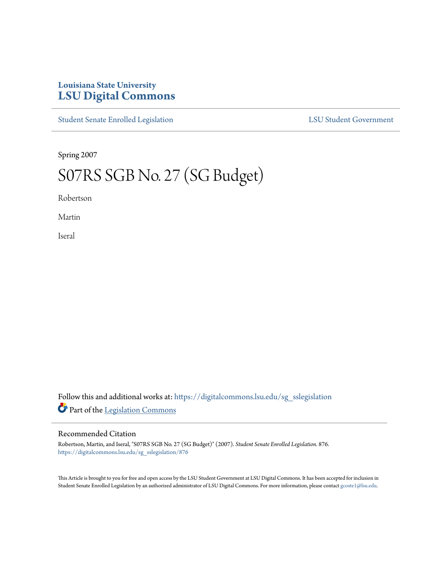## **Louisiana State University [LSU Digital Commons](https://digitalcommons.lsu.edu?utm_source=digitalcommons.lsu.edu%2Fsg_sslegislation%2F876&utm_medium=PDF&utm_campaign=PDFCoverPages)**

[Student Senate Enrolled Legislation](https://digitalcommons.lsu.edu/sg_sslegislation?utm_source=digitalcommons.lsu.edu%2Fsg_sslegislation%2F876&utm_medium=PDF&utm_campaign=PDFCoverPages) [LSU Student Government](https://digitalcommons.lsu.edu/sg?utm_source=digitalcommons.lsu.edu%2Fsg_sslegislation%2F876&utm_medium=PDF&utm_campaign=PDFCoverPages)

Spring 2007

## S07RS SGB No. 27 (SG Budget)

Robertson

Martin

Iseral

Follow this and additional works at: [https://digitalcommons.lsu.edu/sg\\_sslegislation](https://digitalcommons.lsu.edu/sg_sslegislation?utm_source=digitalcommons.lsu.edu%2Fsg_sslegislation%2F876&utm_medium=PDF&utm_campaign=PDFCoverPages) Part of the [Legislation Commons](http://network.bepress.com/hgg/discipline/859?utm_source=digitalcommons.lsu.edu%2Fsg_sslegislation%2F876&utm_medium=PDF&utm_campaign=PDFCoverPages)

## Recommended Citation

Robertson, Martin, and Iseral, "S07RS SGB No. 27 (SG Budget)" (2007). *Student Senate Enrolled Legislation*. 876. [https://digitalcommons.lsu.edu/sg\\_sslegislation/876](https://digitalcommons.lsu.edu/sg_sslegislation/876?utm_source=digitalcommons.lsu.edu%2Fsg_sslegislation%2F876&utm_medium=PDF&utm_campaign=PDFCoverPages)

This Article is brought to you for free and open access by the LSU Student Government at LSU Digital Commons. It has been accepted for inclusion in Student Senate Enrolled Legislation by an authorized administrator of LSU Digital Commons. For more information, please contact [gcoste1@lsu.edu.](mailto:gcoste1@lsu.edu)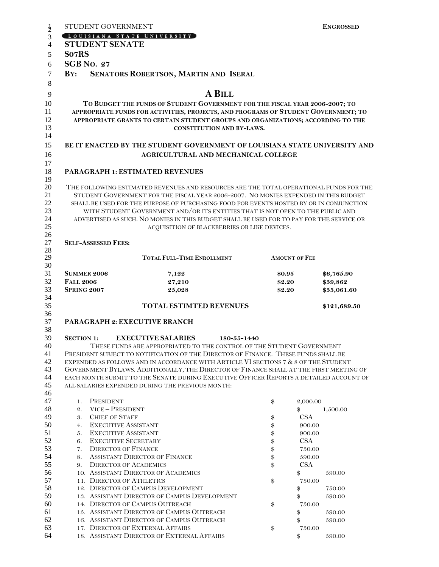| STUDENT GOVERNMENT                     |                                                                                                                                                                                  |                  | <b>ENGROSSED</b>       |
|----------------------------------------|----------------------------------------------------------------------------------------------------------------------------------------------------------------------------------|------------------|------------------------|
|                                        | LOUISIANA STATE UNIVERSITY                                                                                                                                                       |                  |                        |
| <b>STUDENT SENATE</b>                  |                                                                                                                                                                                  |                  |                        |
| So7RS                                  |                                                                                                                                                                                  |                  |                        |
| <b>SGB No. 27</b>                      |                                                                                                                                                                                  |                  |                        |
|                                        |                                                                                                                                                                                  |                  |                        |
| $\mathbf{B} \mathbf{Y}$ :              | SENATORS ROBERTSON, MARTIN AND ISERAL                                                                                                                                            |                  |                        |
|                                        |                                                                                                                                                                                  |                  |                        |
|                                        | A BILL                                                                                                                                                                           |                  |                        |
|                                        | TO BUDGET THE FUNDS OF STUDENT GOVERNMENT FOR THE FISCAL YEAR 2006-2007; TO                                                                                                      |                  |                        |
|                                        | APPROPRIATE FUNDS FOR ACTIVITIES, PROJECTS, AND PROGRAMS OF STUDENT GOVERNMENT; TO                                                                                               |                  |                        |
|                                        | APPROPRIATE GRANTS TO CERTAIN STUDENT GROUPS AND ORGANIZATIONS; ACCORDING TO THE                                                                                                 |                  |                        |
|                                        | <b>CONSTITUTION AND BY-LAWS.</b>                                                                                                                                                 |                  |                        |
|                                        | BE IT ENACTED BY THE STUDENT GOVERNMENT OF LOUISIANA STATE UNIVERSITY AND                                                                                                        |                  |                        |
|                                        |                                                                                                                                                                                  |                  |                        |
|                                        | AGRICULTURAL AND MECHANICAL COLLEGE                                                                                                                                              |                  |                        |
|                                        | <b>PARAGRAPH 1: ESTIMATED REVENUES</b>                                                                                                                                           |                  |                        |
|                                        |                                                                                                                                                                                  |                  |                        |
|                                        | THE FOLLOWING ESTIMATED REVENUES AND RESOURCES ARE THE TOTAL OPERATIONAL FUNDS FOR THE                                                                                           |                  |                        |
|                                        | STUDENT GOVERNMENT FOR THE FISCAL YEAR 2006-2007. NO MONIES EXPENDED IN THIS BUDGET                                                                                              |                  |                        |
|                                        | SHALL BE USED FOR THE PURPOSE OF PURCHASING FOOD FOR EVENTS HOSTED BY OR IN CONJUNCTION                                                                                          |                  |                        |
|                                        | WITH STUDENT GOVERNMENT AND/OR ITS ENTITIES THAT IS NOT OPEN TO THE PUBLIC AND                                                                                                   |                  |                        |
|                                        | ADVERTISED AS SUCH. NO MONIES IN THIS BUDGET SHALL BE USED FOR TO PAY FOR THE SERVICE OR                                                                                         |                  |                        |
|                                        | ACQUISITION OF BLACKBERRIES OR LIKE DEVICES.                                                                                                                                     |                  |                        |
|                                        |                                                                                                                                                                                  |                  |                        |
| <b>SELF-ASSESSED FEES:</b>             |                                                                                                                                                                                  |                  |                        |
|                                        | TOTAL FULL-TIME ENROLLMENT                                                                                                                                                       |                  | <b>AMOUNT OF FEE</b>   |
|                                        |                                                                                                                                                                                  |                  |                        |
| <b>SUMMER 2006</b><br><b>FALL 2006</b> | 7,122<br>27,210                                                                                                                                                                  | \$0.95<br>\$2.20 | \$6,765.90<br>\$59,862 |
| <b>SPRING 2007</b>                     | 25,028                                                                                                                                                                           | \$2.20           | \$55,061.60            |
|                                        |                                                                                                                                                                                  |                  |                        |
|                                        | <b>TOTAL ESTIMTED REVENUES</b>                                                                                                                                                   |                  | \$121,689.50           |
|                                        | PARAGRAPH 2: EXECUTIVE BRANCH                                                                                                                                                    |                  |                        |
|                                        |                                                                                                                                                                                  |                  |                        |
| <b>SECTION 1:</b>                      | <b>EXECUTIVE SALARIES</b>                                                                                                                                                        | 180-55-1440      |                        |
|                                        | THESE FUNDS ARE APPROPRIATED TO THE CONTROL OF THE STUDENT GOVERNMENT                                                                                                            |                  |                        |
|                                        | PRESIDENT SUBJECT TO NOTIFICATION OF THE DIRECTOR OF FINANCE. THESE FUNDS SHALL BE                                                                                               |                  |                        |
|                                        | EXPENDED AS FOLLOWS AND IN ACCORDANCE WITH ARTICLE VI SECTIONS 7 & 8 OF THE STUDENT                                                                                              |                  |                        |
|                                        | GOVERNMENT BYLAWS. ADDITIONALLY, THE DIRECTOR OF FINANCE SHALL AT THE FIRST MEETING OF<br>EACH MONTH SUBMIT TO THE SENATE DURING EXECUTIVE OFFICER REPORTS A DETAILED ACCOUNT OF |                  |                        |
|                                        | ALL SALARIES EXPENDED DURING THE PREVIOUS MONTH:                                                                                                                                 |                  |                        |
|                                        |                                                                                                                                                                                  |                  |                        |
| PRESIDENT<br>1.                        |                                                                                                                                                                                  | \$               | 2,000.00               |
| VICE-PRESIDENT<br>2.                   |                                                                                                                                                                                  |                  | 1,500.00<br>\$         |
| 3.<br><b>CHIEF OF STAFF</b>            |                                                                                                                                                                                  | \$               | <b>CSA</b>             |
| <b>EXECUTIVE ASSISTANT</b><br>4.       |                                                                                                                                                                                  | \$               | 900.00                 |
| 5.<br><b>EXECUTIVE ASSISTANT</b>       |                                                                                                                                                                                  | \$               | 900.00                 |
| 6.<br><b>EXECUTIVE SECRETARY</b>       |                                                                                                                                                                                  | \$               | <b>CSA</b>             |
| 7.<br><b>DIRECTOR OF FINANCE</b>       |                                                                                                                                                                                  | \$               | $750.00\,$             |
| 8.                                     | <b>ASSISTANT DIRECTOR OF FINANCE</b>                                                                                                                                             | \$               | 590.00                 |
| 9.                                     | <b>DIRECTOR OF ACADEMICS</b>                                                                                                                                                     | \$               | CSA                    |
|                                        | 10. ASSISTANT DIRECTOR OF ACADEMICS                                                                                                                                              |                  | \$<br>590.00           |
| 11. DIRECTOR OF ATHLETICS              |                                                                                                                                                                                  | \$               | 750.00                 |
|                                        | 12. DIRECTOR OF CAMPUS DEVELOPMENT<br>13. ASSISTANT DIRECTOR OF CAMPUS DEVELOPMENT                                                                                               |                  | $\,$<br>750.00         |
|                                        | 14. DIRECTOR OF CAMPUS OUTREACH                                                                                                                                                  | \$               | \$<br>590.00<br>750.00 |
|                                        | 15. ASSISTANT DIRECTOR OF CAMPUS OUTREACH                                                                                                                                        |                  | \$<br>590.00           |
|                                        | 16. ASSISTANT DIRECTOR OF CAMPUS OUTREACH                                                                                                                                        |                  | \$<br>590.00           |
|                                        | 17. DIRECTOR OF EXTERNAL AFFAIRS                                                                                                                                                 | \$               | 750.00                 |
|                                        |                                                                                                                                                                                  |                  | 590.00<br>\$           |
|                                        | 18. ASSISTANT DIRECTOR OF EXTERNAL AFFAIRS                                                                                                                                       |                  |                        |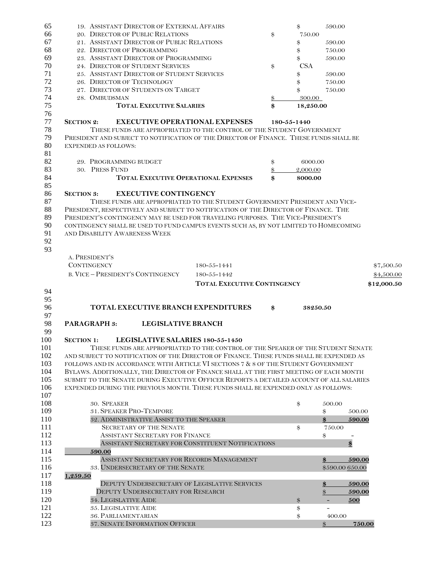| 65         | 19. ASSISTANT DIRECTOR OF EXTERNAL AFFAIRS                                               |          | $\$\$       | 590.00                   |             |
|------------|------------------------------------------------------------------------------------------|----------|-------------|--------------------------|-------------|
| 66         | 20. DIRECTOR OF PUBLIC RELATIONS                                                         | \$       | 750.00      |                          |             |
| 67         | 21. ASSISTANT DIRECTOR OF PUBLIC RELATIONS                                               |          | \$          | 590.00                   |             |
| 68         | 22. DIRECTOR OF PROGRAMMING                                                              |          | \$          | 750.00                   |             |
| 69         | 23. ASSISTANT DIRECTOR OF PROGRAMMING                                                    |          | \$          | 590.00                   |             |
| 70         | 24. DIRECTOR OF STUDENT SERVICES                                                         | \$       | <b>CSA</b>  |                          |             |
| 71         | 25. ASSISTANT DIRECTOR OF STUDENT SERVICES                                               |          | \$          | 590.00                   |             |
| 72         | 26. DIRECTOR OF TECHNOLOGY                                                               |          | \$          | 750.00                   |             |
| 73         | 27. DIRECTOR OF STUDENTS ON TARGET                                                       |          | \$          | 750.00                   |             |
| 74         | 28. OMBUDSMAN                                                                            | \$       | 300.00      |                          |             |
| 75         | <b>TOTAL EXECUTIVE SALARIES</b>                                                          | \$       | 18,250.00   |                          |             |
| 76         |                                                                                          |          |             |                          |             |
| 77         | <b>EXECUTIVE OPERATIONAL EXPENSES</b><br><b>SECTION 2:</b>                               |          | 180-55-1440 |                          |             |
| 78         | THESE FUNDS ARE APPROPRIATED TO THE CONTROL OF THE STUDENT GOVERNMENT                    |          |             |                          |             |
| 79         | PRESIDENT AND SUBJECT TO NOTIFICATION OF THE DIRECTOR OF FINANCE. THESE FUNDS SHALL BE   |          |             |                          |             |
| 80         | <b>EXPENDED AS FOLLOWS:</b>                                                              |          |             |                          |             |
| 81         |                                                                                          |          |             |                          |             |
| 82<br>83   | 29. PROGRAMMING BUDGET<br>30. PRESS FUND                                                 | \$       | 6000.00     |                          |             |
| 84         | <b>TOTAL EXECUTIVE OPERATIONAL EXPENSES</b>                                              | \$<br>\$ | 2,000.00    |                          |             |
| 85         |                                                                                          |          | 8000.00     |                          |             |
| 86         | <b>EXECUTIVE CONTINGENCY</b><br><b>SECTION 3:</b>                                        |          |             |                          |             |
| 87         | THESE FUNDS ARE APPROPRIATED TO THE STUDENT GOVERNMENT PRESIDENT AND VICE-               |          |             |                          |             |
| 88         | PRESIDENT, RESPECTIVELY AND SUBJECT TO NOTIFICATION OF THE DIRECTOR OF FINANCE. THE      |          |             |                          |             |
| 89         | PRESIDENT'S CONTINGENCY MAY BE USED FOR TRAVELING PURPOSES. THE VICE-PRESIDENT'S         |          |             |                          |             |
| 90         | CONTINGENCY SHALL BE USED TO FUND CAMPUS EVENTS SUCH AS, BY NOT LIMITED TO HOMECOMING    |          |             |                          |             |
| 91         | AND DISABILITY AWARENESS WEEK                                                            |          |             |                          |             |
| 92         |                                                                                          |          |             |                          |             |
| 93         |                                                                                          |          |             |                          |             |
|            | A. PRESIDENT'S                                                                           |          |             |                          |             |
|            | <b>CONTINGENCY</b><br>$180 - 55 - 1441$                                                  |          |             |                          | \$7,500.50  |
|            |                                                                                          |          |             |                          |             |
|            |                                                                                          |          |             |                          |             |
|            | <b>B. VICE - PRESIDENT'S CONTINGENCY</b><br>180-55-1442                                  |          |             |                          | \$4,500.00  |
|            | <b>TOTAL EXECUTIVE CONTINGENCY</b>                                                       |          |             |                          | \$12,000.50 |
| 94         |                                                                                          |          |             |                          |             |
| 95         |                                                                                          |          |             |                          |             |
| 96         | TOTAL EXECUTIVE BRANCH EXPENDITURES                                                      | \$       | 38250.50    |                          |             |
| 97         | <b>PARAGRAPH 3:</b><br><b>LEGISLATIVE BRANCH</b>                                         |          |             |                          |             |
| 98<br>99   |                                                                                          |          |             |                          |             |
| 100        | LEGISLATIVE SALARIES 180-55-1450<br><b>SECTION 1:</b>                                    |          |             |                          |             |
| 101        | THESE FUNDS ARE APPROPRIATED TO THE CONTROL OF THE SPEAKER OF THE STUDENT SENATE         |          |             |                          |             |
| 102        | AND SUBJECT TO NOTIFICATION OF THE DIRECTOR OF FINANCE. THESE FUNDS SHALL BE EXPENDED AS |          |             |                          |             |
| 103        | FOLLOWS AND IN ACCORDANCE WITH ARTICLE VI SECTIONS 7 & 8 OF THE STUDENT GOVERNMENT       |          |             |                          |             |
| 104        | BYLAWS. ADDITIONALLY, THE DIRECTOR OF FINANCE SHALL AT THE FIRST MEETING OF EACH MONTH   |          |             |                          |             |
| 105        | SUBMIT TO THE SENATE DURING EXECUTIVE OFFICER REPORTS A DETAILED ACCOUNT OF ALL SALARIES |          |             |                          |             |
| 106        | EXPENDED DURING THE PREVIOUS MONTH. THESE FUNDS SHALL BE EXPENDED ONLY AS FOLLOWS:       |          |             |                          |             |
| 107        |                                                                                          |          |             |                          |             |
| 108        | 30. SPEAKER                                                                              |          | \$          | 500.00                   |             |
| 109        | 31. SPEAKER PRO-TEMPORE                                                                  |          |             | $\$\$                    | 500.00      |
| 110        | 32. ADMINISTRATIVE ASSIST TO THE SPEAKER                                                 |          |             | $\frac{3}{2}$            | 590.00      |
| 111        | <b>SECRETARY OF THE SENATE</b>                                                           |          | \$          | 750.00                   |             |
| 112        | <b>ASSISTANT SECRETARY FOR FINANCE</b>                                                   |          |             | \$                       |             |
| 113        | ASSISTANT SECRETARY FOR CONSTITUENT NOTIFICATIONS                                        |          |             | $\frac{3}{2}$            |             |
| 114        | 590.00                                                                                   |          |             |                          |             |
| 115        | ASSISTANT SECRETARY FOR RECORDS MANAGEMENT                                               |          |             | $\mathbf{\$}$            | 590.00      |
| 116        | 33. UNDERSECRETARY OF THE SENATE                                                         |          |             | \$590.00 650.00          |             |
| 117        | 1,259.50                                                                                 |          |             |                          |             |
| 118        | DEPUTY UNDERSECRETARY OF LEGISLATIVE SERVICES                                            |          |             | $\frac{3}{2}$            | 590.00      |
| 119        | DEPUTY UNDERSECRETARY FOR RESEARCH                                                       |          |             | $\$\$                    | 590.00      |
| 120        | <b>34. LEGISLATIVE AIDE</b>                                                              |          | \$          | $\overline{\phantom{a}}$ | 500         |
| 121        | <b>35. LEGISLATIVE AIDE</b>                                                              |          | \$          | $\overline{a}$           |             |
| 122<br>123 | <b>36. PARLIAMENTARIAN</b><br>37. SENATE INFORMATION OFFICER                             |          | \$          | 400.00<br>$\frac{3}{2}$  | 750.00      |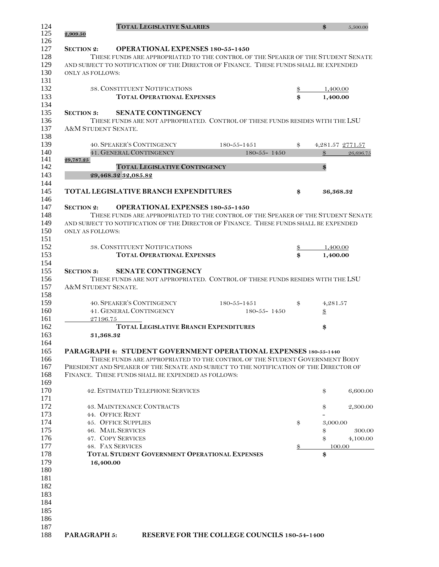|                         | <b>TOTAL LEGISLATIVE SALARIES</b>                                        |                                                                                        |               | \$               | 5,500.00  |
|-------------------------|--------------------------------------------------------------------------|----------------------------------------------------------------------------------------|---------------|------------------|-----------|
| 2,909.50                |                                                                          |                                                                                        |               |                  |           |
| <b>SECTION 2:</b>       | <b>OPERATIONAL EXPENSES 180-55-1450</b>                                  |                                                                                        |               |                  |           |
|                         |                                                                          | THESE FUNDS ARE APPROPRIATED TO THE CONTROL OF THE SPEAKER OF THE STUDENT SENATE       |               |                  |           |
|                         |                                                                          | AND SUBJECT TO NOTIFICATION OF THE DIRECTOR OF FINANCE. THESE FUNDS SHALL BE EXPENDED  |               |                  |           |
| <b>ONLY AS FOLLOWS:</b> |                                                                          |                                                                                        |               |                  |           |
|                         |                                                                          |                                                                                        |               |                  |           |
|                         | <b>38. CONSTITUENT NOTIFICATIONS</b>                                     |                                                                                        |               | 1,400.00         |           |
|                         | <b>TOTAL OPERATIONAL EXPENSES</b>                                        |                                                                                        | \$            | 1,400.00         |           |
| <b>SECTION 3:</b>       | <b>SENATE CONTINGENCY</b>                                                |                                                                                        |               |                  |           |
|                         |                                                                          | THESE FUNDS ARE NOT APPROPRIATED. CONTROL OF THESE FUNDS RESIDES WITH THE LSU          |               |                  |           |
| A&M STUDENT SENATE.     |                                                                          |                                                                                        |               |                  |           |
|                         |                                                                          |                                                                                        |               |                  |           |
|                         | <b>40. SPEAKER'S CONTINGENCY</b>                                         | $180 - 55 - 1451$                                                                      | \$            | 4,281.57 2771.57 |           |
| 29,787.25               | <b>41. GENERAL CONTINGENCY</b>                                           | $180 - 55 - 1450$                                                                      |               | $\$\$            | 26,696.75 |
|                         | <b>TOTAL LEGISLATIVE CONTINGENCY</b>                                     |                                                                                        |               | \$               |           |
|                         | 29,468.32 32,085.82                                                      |                                                                                        |               |                  |           |
|                         |                                                                          |                                                                                        |               |                  |           |
|                         | <b>TOTAL LEGISLATIVE BRANCH EXPENDITURES</b>                             |                                                                                        | \$            | 36,368.32        |           |
| <b>SECTION 2:</b>       | <b>OPERATIONAL EXPENSES 180-55-1450</b>                                  |                                                                                        |               |                  |           |
|                         |                                                                          | THESE FUNDS ARE APPROPRIATED TO THE CONTROL OF THE SPEAKER OF THE STUDENT SENATE       |               |                  |           |
|                         |                                                                          | AND SUBJECT TO NOTIFICATION OF THE DIRECTOR OF FINANCE. THESE FUNDS SHALL BE EXPENDED  |               |                  |           |
| <b>ONLY AS FOLLOWS:</b> |                                                                          |                                                                                        |               |                  |           |
|                         |                                                                          |                                                                                        |               |                  |           |
|                         | 38. CONSTITUENT NOTIFICATIONS                                            |                                                                                        | $\frac{3}{2}$ | 1,400.00         |           |
|                         | <b>TOTAL OPERATIONAL EXPENSES</b>                                        |                                                                                        | \$            | 1,400.00         |           |
| <b>SECTION 3:</b>       | <b>SENATE CONTINGENCY</b>                                                |                                                                                        |               |                  |           |
|                         |                                                                          | THESE FUNDS ARE NOT APPROPRIATED. CONTROL OF THESE FUNDS RESIDES WITH THE LSU          |               |                  |           |
| A&M STUDENT SENATE.     |                                                                          |                                                                                        |               |                  |           |
|                         |                                                                          |                                                                                        |               |                  |           |
|                         | <b>40. SPEAKER'S CONTINGENCY</b>                                         | $180 - 55 - 1451$                                                                      | \$            | 4,281.57         |           |
|                         | 41. GENERAL CONTINGENCY                                                  | 180-55-1450                                                                            |               | $\frac{3}{2}$    |           |
| 27196.75                | <b>TOTAL LEGISLATIVE BRANCH EXPENDITURES</b>                             |                                                                                        |               | \$               |           |
| 31,368.32               |                                                                          |                                                                                        |               |                  |           |
|                         |                                                                          |                                                                                        |               |                  |           |
|                         |                                                                          | PARAGRAPH 4: STUDENT GOVERNMENT OPERATIONAL EXPENSES 180-55-1440                       |               |                  |           |
|                         |                                                                          | THESE FUNDS ARE APPROPRIATED TO THE CONTROL OF THE STUDENT GOVERNMENT BODY             |               |                  |           |
|                         |                                                                          | PRESIDENT AND SPEAKER OF THE SENATE AND SUBJECT TO THE NOTIFICATION OF THE DIRECTOR OF |               |                  |           |
|                         | FINANCE. THESE FUNDS SHALL BE EXPENDED AS FOLLOWS:                       |                                                                                        |               |                  |           |
|                         | <b>42. ESTIMATED TELEPHONE SERVICES</b>                                  |                                                                                        |               | \$               | 6,600.00  |
|                         |                                                                          |                                                                                        |               |                  |           |
|                         | <b>43. MAINTENANCE CONTRACTS</b>                                         |                                                                                        |               | \$               | 2,300.00  |
|                         | 44. OFFICE RENT                                                          |                                                                                        |               |                  |           |
|                         | <b>45. OFFICE SUPPLIES</b>                                               |                                                                                        | \$            | 3,000.00         |           |
|                         | <b>46. MAIL SERVICES</b>                                                 |                                                                                        |               | \$               | 300.00    |
|                         | 47. COPY SERVICES                                                        |                                                                                        |               | \$               | 4,100.00  |
|                         | 48. FAX SERVICES<br><b>TOTAL STUDENT GOVERNMENT OPERATIONAL EXPENSES</b> |                                                                                        | \$            | 100.00           |           |
| 16,400.00               |                                                                          |                                                                                        |               | \$               |           |
|                         |                                                                          |                                                                                        |               |                  |           |
|                         |                                                                          |                                                                                        |               |                  |           |
|                         |                                                                          |                                                                                        |               |                  |           |
|                         |                                                                          |                                                                                        |               |                  |           |
|                         |                                                                          |                                                                                        |               |                  |           |
|                         |                                                                          |                                                                                        |               |                  |           |
|                         |                                                                          |                                                                                        |               |                  |           |
|                         |                                                                          |                                                                                        |               |                  |           |
| PARAGRAPH 5:            |                                                                          | RESERVE FOR THE COLLEGE COUNCILS 180-54-1400                                           |               |                  |           |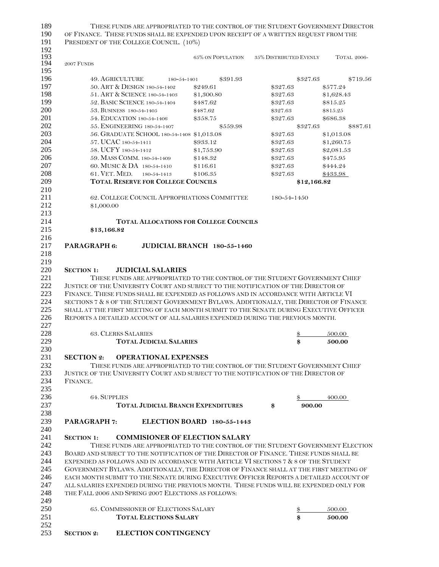| 189<br>190<br>191 |                     | THESE FUNDS ARE APPROPRIATED TO THE CONTROL OF THE STUDENT GOVERNMENT DIRECTOR<br>OF FINANCE. THESE FUNDS SHALL BE EXPENDED UPON RECEIPT OF A WRITTEN REQUEST FROM THE<br>PRESIDENT OF THE COLLEGE COUNCIL. (10%) |                             |                               |             |                    |
|-------------------|---------------------|-------------------------------------------------------------------------------------------------------------------------------------------------------------------------------------------------------------------|-----------------------------|-------------------------------|-------------|--------------------|
| 192<br>193<br>194 | 2007 FUNDS          |                                                                                                                                                                                                                   | 65% ON POPULATION           | <b>35% DISTRIBUTED EVENLY</b> |             | <b>TOTAL 2006-</b> |
| 195               |                     |                                                                                                                                                                                                                   |                             |                               |             |                    |
| 196               |                     | 49. AGRICULTURE<br>180-54-1401                                                                                                                                                                                    | \$391.93                    |                               | \$327.63    | \$719.56           |
| 197               |                     | 50. ART & DESIGN 180-54-1402                                                                                                                                                                                      | \$249.61                    | \$327.63                      |             | \$577.24           |
| 198               |                     | 51. ART & SCIENCE 180-54-1403                                                                                                                                                                                     | \$1,300.80                  | \$327.63                      |             | \$1,628.43         |
| 199               |                     | 52. BASIC SCIENCE 180-54-1404                                                                                                                                                                                     | \$487.62                    | \$327.63                      |             | \$815.25           |
| 200               |                     | 53. BUSINESS 180-54-1405                                                                                                                                                                                          | \$487.62                    | \$327.63                      |             | \$815.25           |
| 201               |                     | 54. EDUCATION 180-54-1406                                                                                                                                                                                         | \$358.75                    | \$327.63                      |             | \$686.38           |
| 202               |                     | 55. ENGINEERING 180-54-1407                                                                                                                                                                                       | \$559.98                    |                               | \$327.63    | \$887.61           |
| 203               |                     | 56. GRADUATE SCHOOL 180-54-1408 \$1,013.08                                                                                                                                                                        |                             | \$327.63                      |             | \$1,013.08         |
| 204               |                     | 57. UCAC 180-54-1411                                                                                                                                                                                              | \$933.12                    | \$327.63                      |             | \$1,260.75         |
| 205               |                     | 58. UCFY 180-54-1412                                                                                                                                                                                              | \$1,753.90                  | \$327.63                      |             | \$2,081.53         |
| 206               |                     | 59. MASS COMM. 180-54-1409                                                                                                                                                                                        | \$148.32                    | \$327.63                      |             | \$475.95           |
| 207               |                     | 60. MUSIC & DA 180-54-1410                                                                                                                                                                                        | \$116.61                    | \$327.63                      |             | \$444.24           |
| 208               |                     | 61. VET. MED.<br>180-54-1413                                                                                                                                                                                      | \$106.35                    | \$327.63                      |             | \$433.98           |
| 209               |                     | <b>TOTAL RESERVE FOR COLLEGE COUNCILS</b>                                                                                                                                                                         |                             |                               | \$12,166.82 |                    |
| 210               |                     |                                                                                                                                                                                                                   |                             |                               |             |                    |
| 211               |                     | 62. COLLEGE COUNCIL APPROPRIATIONS COMMITTEE                                                                                                                                                                      |                             | 180-54-1450                   |             |                    |
| 212               | \$1,000.00          |                                                                                                                                                                                                                   |                             |                               |             |                    |
| 213               |                     |                                                                                                                                                                                                                   |                             |                               |             |                    |
| 214               |                     | <b>TOTAL ALLOCATIONS FOR COLLEGE COUNCILS</b>                                                                                                                                                                     |                             |                               |             |                    |
| 215               | \$13,166.82         |                                                                                                                                                                                                                   |                             |                               |             |                    |
| 216               |                     |                                                                                                                                                                                                                   |                             |                               |             |                    |
| 217               | PARAGRAPH 6:        |                                                                                                                                                                                                                   | JUDICIAL BRANCH 180-55-1460 |                               |             |                    |
|                   |                     |                                                                                                                                                                                                                   |                             |                               |             |                    |
| 218               |                     |                                                                                                                                                                                                                   |                             |                               |             |                    |
| 219               |                     |                                                                                                                                                                                                                   |                             |                               |             |                    |
| 220               | <b>SECTION 1:</b>   | <b>JUDICIAL SALARIES</b>                                                                                                                                                                                          |                             |                               |             |                    |
| 221               |                     | THESE FUNDS ARE APPROPRIATED TO THE CONTROL OF THE STUDENT GOVERNMENT CHIEF                                                                                                                                       |                             |                               |             |                    |
| 222               |                     | JUSTICE OF THE UNIVERSITY COURT AND SUBJECT TO THE NOTIFICATION OF THE DIRECTOR OF                                                                                                                                |                             |                               |             |                    |
| 223               |                     | FINANCE. THESE FUNDS SHALL BE EXPENDED AS FOLLOWS AND IN ACCORDANCE WITH ARTICLE VI                                                                                                                               |                             |                               |             |                    |
| 224               |                     | SECTIONS 7 & 8 OF THE STUDENT GOVERNMENT BYLAWS. ADDITIONALLY, THE DIRECTOR OF FINANCE                                                                                                                            |                             |                               |             |                    |
| 225               |                     | SHALL AT THE FIRST MEETING OF EACH MONTH SUBMIT TO THE SENATE DURING EXECUTIVE OFFICER                                                                                                                            |                             |                               |             |                    |
| 226               |                     | REPORTS A DETAILED ACCOUNT OF ALL SALARIES EXPENDED DURING THE PREVIOUS MONTH.                                                                                                                                    |                             |                               |             |                    |
| 227               |                     |                                                                                                                                                                                                                   |                             |                               |             |                    |
| 228               |                     | <b>63. CLERKS SALARIES</b>                                                                                                                                                                                        |                             |                               | \$          | 500.00             |
| 229               |                     | <b>TOTAL JUDICIAL SALARIES</b>                                                                                                                                                                                    |                             |                               | \$          | 500.00             |
| 230               |                     |                                                                                                                                                                                                                   |                             |                               |             |                    |
| 231               | <b>SECTION 2:</b>   | <b>OPERATIONAL EXPENSES</b>                                                                                                                                                                                       |                             |                               |             |                    |
| 232               |                     | THESE FUNDS ARE APPROPRIATED TO THE CONTROL OF THE STUDENT GOVERNMENT CHIEF                                                                                                                                       |                             |                               |             |                    |
| 233               |                     | JUSTICE OF THE UNIVERSITY COURT AND SUBJECT TO THE NOTIFICATION OF THE DIRECTOR OF                                                                                                                                |                             |                               |             |                    |
| 234               | FINANCE.            |                                                                                                                                                                                                                   |                             |                               |             |                    |
| 235               |                     |                                                                                                                                                                                                                   |                             |                               |             |                    |
| 236               | <b>64. SUPPLIES</b> |                                                                                                                                                                                                                   |                             |                               |             |                    |
|                   |                     |                                                                                                                                                                                                                   |                             |                               |             | 400.00             |
| 237               |                     | <b>TOTAL JUDICIAL BRANCH EXPENDITURES</b>                                                                                                                                                                         |                             | \$                            | 900.00      |                    |
| 238               |                     |                                                                                                                                                                                                                   |                             |                               |             |                    |
| 239               | <b>PARAGRAPH 7:</b> |                                                                                                                                                                                                                   | ELECTION BOARD 180-55-1443  |                               |             |                    |
| 240               |                     |                                                                                                                                                                                                                   |                             |                               |             |                    |
| 241               | <b>SECTION 1:</b>   | <b>COMMISIONER OF ELECTION SALARY</b>                                                                                                                                                                             |                             |                               |             |                    |
| 242               |                     | THESE FUNDS ARE APPROPRIATED TO THE CONTROL OF THE STUDENT GOVERNMENT ELECTION                                                                                                                                    |                             |                               |             |                    |
| 243               |                     | BOARD AND SUBJECT TO THE NOTIFICATION OF THE DIRECTOR OF FINANCE. THESE FUNDS SHALL BE                                                                                                                            |                             |                               |             |                    |
| 244               |                     | EXPENDED AS FOLLOWS AND IN ACCORDANCE WITH ARTICLE VI SECTIONS 7 & 8 OF THE STUDENT                                                                                                                               |                             |                               |             |                    |
| 245               |                     | GOVERNMENT BYLAWS. ADDITIONALLY, THE DIRECTOR OF FINANCE SHALL AT THE FIRST MEETING OF                                                                                                                            |                             |                               |             |                    |
| 246               |                     | EACH MONTH SUBMIT TO THE SENATE DURING EXECUTIVE OFFICER REPORTS A DETAILED ACCOUNT OF                                                                                                                            |                             |                               |             |                    |
| 247               |                     | ALL SALARIES EXPENDED DURING THE PREVIOUS MONTH. THESE FUNDS WILL BE EXPENDED ONLY FOR                                                                                                                            |                             |                               |             |                    |
| 248               |                     | THE FALL 2006 AND SPRING 2007 ELECTIONS AS FOLLOWS:                                                                                                                                                               |                             |                               |             |                    |
| 249               |                     |                                                                                                                                                                                                                   |                             |                               |             |                    |
|                   |                     |                                                                                                                                                                                                                   |                             |                               |             |                    |
| 250               |                     | 65. COMMISSIONER OF ELECTIONS SALARY                                                                                                                                                                              |                             |                               | \$          | 500.00             |
| 251               |                     | <b>TOTAL ELECTIONS SALARY</b>                                                                                                                                                                                     |                             |                               | \$          | 500.00             |
| 252               |                     |                                                                                                                                                                                                                   |                             |                               |             |                    |
| 253               | <b>SECTION 2:</b>   | <b>ELECTION CONTINGENCY</b>                                                                                                                                                                                       |                             |                               |             |                    |